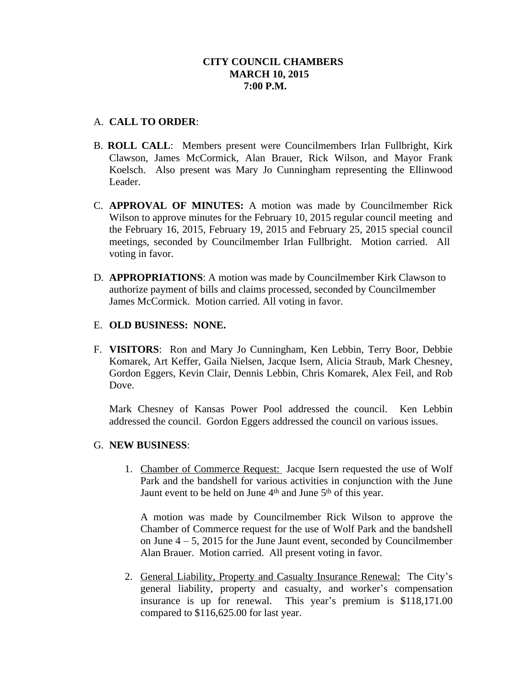## **CITY COUNCIL CHAMBERS MARCH 10, 2015 7:00 P.M.**

### A. **CALL TO ORDER**:

- B. **ROLL CALL**: Members present were Councilmembers Irlan Fullbright, Kirk Clawson, James McCormick, Alan Brauer, Rick Wilson, and Mayor Frank Koelsch. Also present was Mary Jo Cunningham representing the Ellinwood Leader.
- C. **APPROVAL OF MINUTES:** A motion was made by Councilmember Rick Wilson to approve minutes for the February 10, 2015 regular council meeting and the February 16, 2015, February 19, 2015 and February 25, 2015 special council meetings, seconded by Councilmember Irlan Fullbright. Motion carried. All voting in favor.
- D. **APPROPRIATIONS**: A motion was made by Councilmember Kirk Clawson to authorize payment of bills and claims processed, seconded by Councilmember James McCormick. Motion carried. All voting in favor.

# E. **OLD BUSINESS: NONE.**

F. **VISITORS**: Ron and Mary Jo Cunningham, Ken Lebbin, Terry Boor, Debbie Komarek, Art Keffer, Gaila Nielsen, Jacque Isern, Alicia Straub, Mark Chesney, Gordon Eggers, Kevin Clair, Dennis Lebbin, Chris Komarek, Alex Feil, and Rob Dove.

Mark Chesney of Kansas Power Pool addressed the council. Ken Lebbin addressed the council. Gordon Eggers addressed the council on various issues.

### G. **NEW BUSINESS**:

1. Chamber of Commerce Request: Jacque Isern requested the use of Wolf Park and the bandshell for various activities in conjunction with the June Jaunt event to be held on June 4<sup>th</sup> and June 5<sup>th</sup> of this year.

A motion was made by Councilmember Rick Wilson to approve the Chamber of Commerce request for the use of Wolf Park and the bandshell on June  $4 - 5$ , 2015 for the June Jaunt event, seconded by Councilmember Alan Brauer. Motion carried. All present voting in favor.

2. General Liability, Property and Casualty Insurance Renewal: The City's general liability, property and casualty, and worker's compensation insurance is up for renewal. This year's premium is \$118,171.00 compared to \$116,625.00 for last year.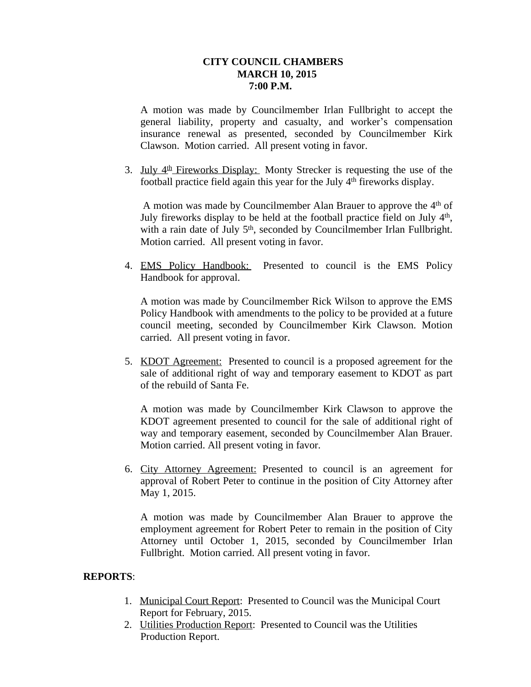### **CITY COUNCIL CHAMBERS MARCH 10, 2015 7:00 P.M.**

A motion was made by Councilmember Irlan Fullbright to accept the general liability, property and casualty, and worker's compensation insurance renewal as presented, seconded by Councilmember Kirk Clawson. Motion carried. All present voting in favor.

3. July 4<sup>th</sup> Fireworks Display: Monty Strecker is requesting the use of the football practice field again this year for the July 4th fireworks display.

A motion was made by Councilmember Alan Brauer to approve the 4<sup>th</sup> of July fireworks display to be held at the football practice field on July 4<sup>th</sup>, with a rain date of July 5<sup>th</sup>, seconded by Councilmember Irlan Fullbright. Motion carried. All present voting in favor.

4. EMS Policy Handbook: Presented to council is the EMS Policy Handbook for approval.

A motion was made by Councilmember Rick Wilson to approve the EMS Policy Handbook with amendments to the policy to be provided at a future council meeting, seconded by Councilmember Kirk Clawson. Motion carried. All present voting in favor.

5. KDOT Agreement: Presented to council is a proposed agreement for the sale of additional right of way and temporary easement to KDOT as part of the rebuild of Santa Fe.

A motion was made by Councilmember Kirk Clawson to approve the KDOT agreement presented to council for the sale of additional right of way and temporary easement, seconded by Councilmember Alan Brauer. Motion carried. All present voting in favor.

6. City Attorney Agreement: Presented to council is an agreement for approval of Robert Peter to continue in the position of City Attorney after May 1, 2015.

A motion was made by Councilmember Alan Brauer to approve the employment agreement for Robert Peter to remain in the position of City Attorney until October 1, 2015, seconded by Councilmember Irlan Fullbright. Motion carried. All present voting in favor.

### **REPORTS**:

- 1. Municipal Court Report: Presented to Council was the Municipal Court Report for February, 2015.
- 2. Utilities Production Report: Presented to Council was the Utilities Production Report.